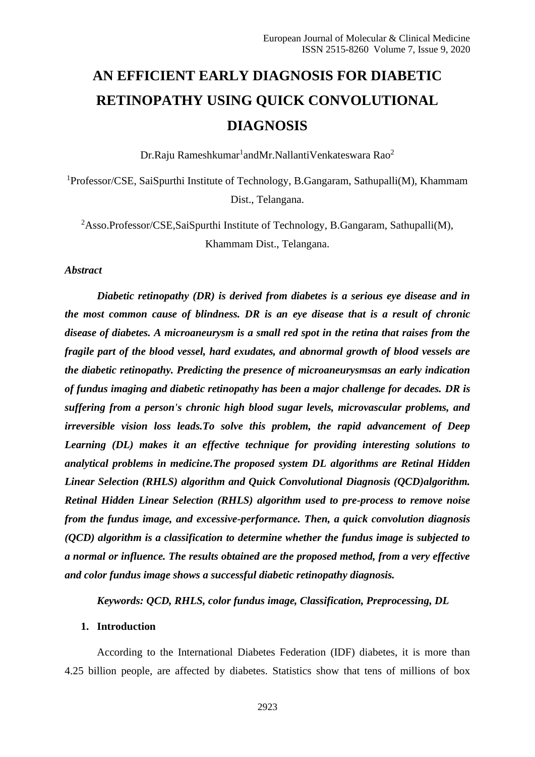# **AN EFFICIENT EARLY DIAGNOSIS FOR DIABETIC RETINOPATHY USING QUICK CONVOLUTIONAL DIAGNOSIS**

 $Dr.R$ aju Rameshkumar $^1$ andMr.NallantiVenkateswara Rao $^2$ 

<sup>1</sup>Professor/CSE, SaiSpurthi Institute of Technology, B.Gangaram, Sathupalli(M), Khammam Dist., Telangana.

<sup>2</sup>Asso.Professor/CSE,SaiSpurthi Institute of Technology, B.Gangaram, Sathupalli(M), Khammam Dist., Telangana.

*Abstract*

*Diabetic retinopathy (DR) is derived from diabetes is a serious eye disease and in the most common cause of blindness. DR is an eye disease that is a result of chronic disease of diabetes. A microaneurysm is a small red spot in the retina that raises from the fragile part of the blood vessel, hard exudates, and abnormal growth of blood vessels are the diabetic retinopathy. Predicting the presence of microaneurysmsas an early indication of fundus imaging and diabetic retinopathy has been a major challenge for decades. DR is suffering from a person's chronic high blood sugar levels, microvascular problems, and irreversible vision loss leads.To solve this problem, the rapid advancement of Deep Learning (DL) makes it an effective technique for providing interesting solutions to analytical problems in medicine.The proposed system DL algorithms are Retinal Hidden Linear Selection (RHLS) algorithm and Quick Convolutional Diagnosis (QCD)algorithm. Retinal Hidden Linear Selection (RHLS) algorithm used to pre-process to remove noise from the fundus image, and excessive-performance. Then, a quick convolution diagnosis (QCD) algorithm is a classification to determine whether the fundus image is subjected to a normal or influence. The results obtained are the proposed method, from a very effective and color fundus image shows a successful diabetic retinopathy diagnosis.*

*Keywords: QCD, RHLS, color fundus image, Classification, Preprocessing, DL*

#### **1. Introduction**

According to the International Diabetes Federation (IDF) diabetes, it is more than 4.25 billion people, are affected by diabetes. Statistics show that tens of millions of box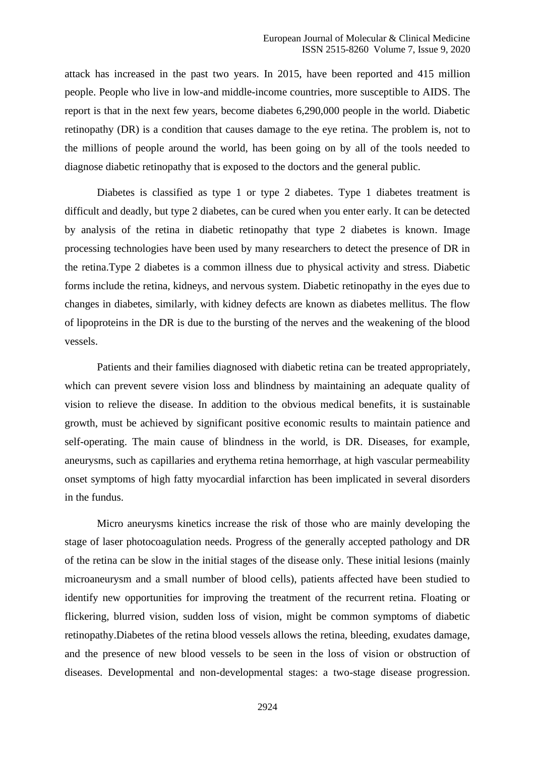attack has increased in the past two years. In 2015, have been reported and 415 million people. People who live in low-and middle-income countries, more susceptible to AIDS. The report is that in the next few years, become diabetes 6,290,000 people in the world. Diabetic retinopathy (DR) is a condition that causes damage to the eye retina. The problem is, not to the millions of people around the world, has been going on by all of the tools needed to diagnose diabetic retinopathy that is exposed to the doctors and the general public.

Diabetes is classified as type 1 or type 2 diabetes. Type 1 diabetes treatment is difficult and deadly, but type 2 diabetes, can be cured when you enter early. It can be detected by analysis of the retina in diabetic retinopathy that type 2 diabetes is known. Image processing technologies have been used by many researchers to detect the presence of DR in the retina.Type 2 diabetes is a common illness due to physical activity and stress. Diabetic forms include the retina, kidneys, and nervous system. Diabetic retinopathy in the eyes due to changes in diabetes, similarly, with kidney defects are known as diabetes mellitus. The flow of lipoproteins in the DR is due to the bursting of the nerves and the weakening of the blood vessels.

Patients and their families diagnosed with diabetic retina can be treated appropriately, which can prevent severe vision loss and blindness by maintaining an adequate quality of vision to relieve the disease. In addition to the obvious medical benefits, it is sustainable growth, must be achieved by significant positive economic results to maintain patience and self-operating. The main cause of blindness in the world, is DR. Diseases, for example, aneurysms, such as capillaries and erythema retina hemorrhage, at high vascular permeability onset symptoms of high fatty myocardial infarction has been implicated in several disorders in the fundus.

Micro aneurysms kinetics increase the risk of those who are mainly developing the stage of laser photocoagulation needs. Progress of the generally accepted pathology and DR of the retina can be slow in the initial stages of the disease only. These initial lesions (mainly microaneurysm and a small number of blood cells), patients affected have been studied to identify new opportunities for improving the treatment of the recurrent retina. Floating or flickering, blurred vision, sudden loss of vision, might be common symptoms of diabetic retinopathy.Diabetes of the retina blood vessels allows the retina, bleeding, exudates damage, and the presence of new blood vessels to be seen in the loss of vision or obstruction of diseases. Developmental and non-developmental stages: a two-stage disease progression.

2924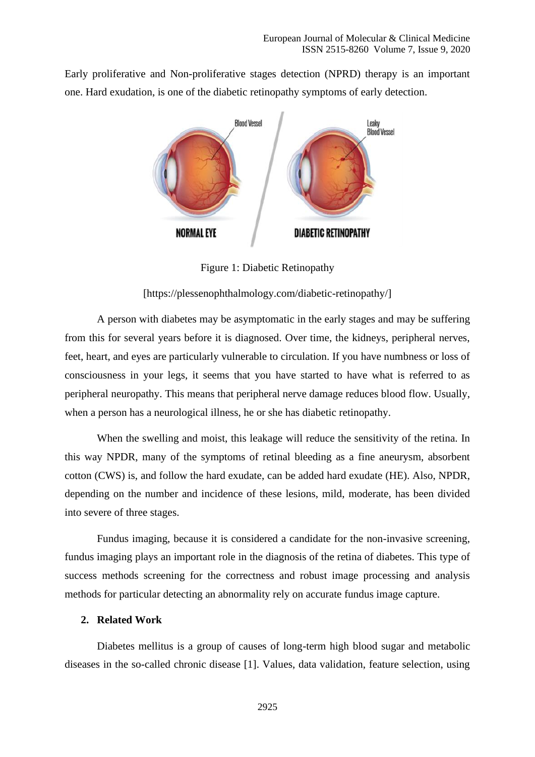Early proliferative and Non-proliferative stages detection (NPRD) therapy is an important one. Hard exudation, is one of the diabetic retinopathy symptoms of early detection.



Figure 1: Diabetic Retinopathy

[\[https://plessenophthalmology.com/diabetic-retinopathy/\]](https://plessenophthalmology.com/diabetic-retinopathy/)

A person with diabetes may be asymptomatic in the early stages and may be suffering from this for several years before it is diagnosed. Over time, the kidneys, peripheral nerves, feet, heart, and eyes are particularly vulnerable to circulation. If you have numbness or loss of consciousness in your legs, it seems that you have started to have what is referred to as peripheral neuropathy. This means that peripheral nerve damage reduces blood flow. Usually, when a person has a neurological illness, he or she has diabetic retinopathy.

When the swelling and moist, this leakage will reduce the sensitivity of the retina. In this way NPDR, many of the symptoms of retinal bleeding as a fine aneurysm, absorbent cotton (CWS) is, and follow the hard exudate, can be added hard exudate (HE). Also, NPDR, depending on the number and incidence of these lesions, mild, moderate, has been divided into severe of three stages.

Fundus imaging, because it is considered a candidate for the non-invasive screening, fundus imaging plays an important role in the diagnosis of the retina of diabetes. This type of success methods screening for the correctness and robust image processing and analysis methods for particular detecting an abnormality rely on accurate fundus image capture.

#### **2. Related Work**

Diabetes mellitus is a group of causes of long-term high blood sugar and metabolic diseases in the so-called chronic disease [1]. Values, data validation, feature selection, using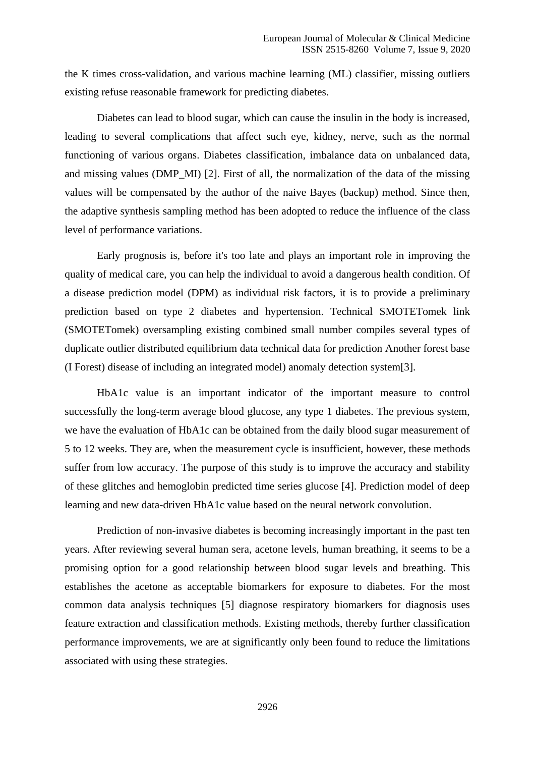the K times cross-validation, and various machine learning (ML) classifier, missing outliers existing refuse reasonable framework for predicting diabetes.

Diabetes can lead to blood sugar, which can cause the insulin in the body is increased, leading to several complications that affect such eye, kidney, nerve, such as the normal functioning of various organs. Diabetes classification, imbalance data on unbalanced data, and missing values (DMP\_MI) [2]. First of all, the normalization of the data of the missing values will be compensated by the author of the naive Bayes (backup) method. Since then, the adaptive synthesis sampling method has been adopted to reduce the influence of the class level of performance variations.

Early prognosis is, before it's too late and plays an important role in improving the quality of medical care, you can help the individual to avoid a dangerous health condition. Of a disease prediction model (DPM) as individual risk factors, it is to provide a preliminary prediction based on type 2 diabetes and hypertension. Technical SMOTETomek link (SMOTETomek) oversampling existing combined small number compiles several types of duplicate outlier distributed equilibrium data technical data for prediction Another forest base (I Forest) disease of including an integrated model) anomaly detection system[3].

HbA1c value is an important indicator of the important measure to control successfully the long-term average blood glucose, any type 1 diabetes. The previous system, we have the evaluation of HbA1c can be obtained from the daily blood sugar measurement of 5 to 12 weeks. They are, when the measurement cycle is insufficient, however, these methods suffer from low accuracy. The purpose of this study is to improve the accuracy and stability of these glitches and hemoglobin predicted time series glucose [4]. Prediction model of deep learning and new data-driven HbA1c value based on the neural network convolution.

Prediction of non-invasive diabetes is becoming increasingly important in the past ten years. After reviewing several human sera, acetone levels, human breathing, it seems to be a promising option for a good relationship between blood sugar levels and breathing. This establishes the acetone as acceptable biomarkers for exposure to diabetes. For the most common data analysis techniques [5] diagnose respiratory biomarkers for diagnosis uses feature extraction and classification methods. Existing methods, thereby further classification performance improvements, we are at significantly only been found to reduce the limitations associated with using these strategies.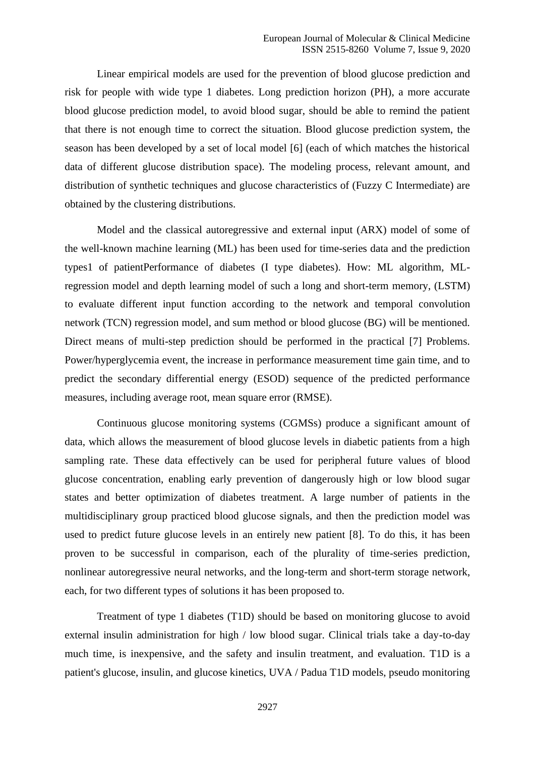Linear empirical models are used for the prevention of blood glucose prediction and risk for people with wide type 1 diabetes. Long prediction horizon (PH), a more accurate blood glucose prediction model, to avoid blood sugar, should be able to remind the patient that there is not enough time to correct the situation. Blood glucose prediction system, the season has been developed by a set of local model [6] (each of which matches the historical data of different glucose distribution space). The modeling process, relevant amount, and distribution of synthetic techniques and glucose characteristics of (Fuzzy C Intermediate) are obtained by the clustering distributions.

Model and the classical autoregressive and external input (ARX) model of some of the well-known machine learning (ML) has been used for time-series data and the prediction types1 of patientPerformance of diabetes (I type diabetes). How: ML algorithm, MLregression model and depth learning model of such a long and short-term memory, (LSTM) to evaluate different input function according to the network and temporal convolution network (TCN) regression model, and sum method or blood glucose (BG) will be mentioned. Direct means of multi-step prediction should be performed in the practical [7] Problems. Power/hyperglycemia event, the increase in performance measurement time gain time, and to predict the secondary differential energy (ESOD) sequence of the predicted performance measures, including average root, mean square error (RMSE).

Continuous glucose monitoring systems (CGMSs) produce a significant amount of data, which allows the measurement of blood glucose levels in diabetic patients from a high sampling rate. These data effectively can be used for peripheral future values of blood glucose concentration, enabling early prevention of dangerously high or low blood sugar states and better optimization of diabetes treatment. A large number of patients in the multidisciplinary group practiced blood glucose signals, and then the prediction model was used to predict future glucose levels in an entirely new patient [8]. To do this, it has been proven to be successful in comparison, each of the plurality of time-series prediction, nonlinear autoregressive neural networks, and the long-term and short-term storage network, each, for two different types of solutions it has been proposed to.

Treatment of type 1 diabetes (T1D) should be based on monitoring glucose to avoid external insulin administration for high / low blood sugar. Clinical trials take a day-to-day much time, is inexpensive, and the safety and insulin treatment, and evaluation. T1D is a patient's glucose, insulin, and glucose kinetics, UVA / Padua T1D models, pseudo monitoring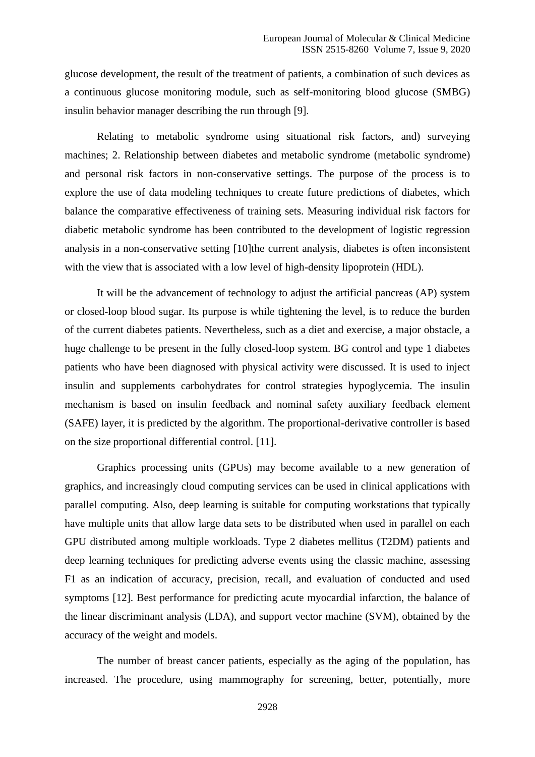glucose development, the result of the treatment of patients, a combination of such devices as a continuous glucose monitoring module, such as self-monitoring blood glucose (SMBG) insulin behavior manager describing the run through [9].

Relating to metabolic syndrome using situational risk factors, and) surveying machines; 2. Relationship between diabetes and metabolic syndrome (metabolic syndrome) and personal risk factors in non-conservative settings. The purpose of the process is to explore the use of data modeling techniques to create future predictions of diabetes, which balance the comparative effectiveness of training sets. Measuring individual risk factors for diabetic metabolic syndrome has been contributed to the development of logistic regression analysis in a non-conservative setting [10]the current analysis, diabetes is often inconsistent with the view that is associated with a low level of high-density lipoprotein (HDL).

It will be the advancement of technology to adjust the artificial pancreas (AP) system or closed-loop blood sugar. Its purpose is while tightening the level, is to reduce the burden of the current diabetes patients. Nevertheless, such as a diet and exercise, a major obstacle, a huge challenge to be present in the fully closed-loop system. BG control and type 1 diabetes patients who have been diagnosed with physical activity were discussed. It is used to inject insulin and supplements carbohydrates for control strategies hypoglycemia. The insulin mechanism is based on insulin feedback and nominal safety auxiliary feedback element (SAFE) layer, it is predicted by the algorithm. The proportional-derivative controller is based on the size proportional differential control. [11].

Graphics processing units (GPUs) may become available to a new generation of graphics, and increasingly cloud computing services can be used in clinical applications with parallel computing. Also, deep learning is suitable for computing workstations that typically have multiple units that allow large data sets to be distributed when used in parallel on each GPU distributed among multiple workloads. Type 2 diabetes mellitus (T2DM) patients and deep learning techniques for predicting adverse events using the classic machine, assessing F1 as an indication of accuracy, precision, recall, and evaluation of conducted and used symptoms [12]. Best performance for predicting acute myocardial infarction, the balance of the linear discriminant analysis (LDA), and support vector machine (SVM), obtained by the accuracy of the weight and models.

The number of breast cancer patients, especially as the aging of the population, has increased. The procedure, using mammography for screening, better, potentially, more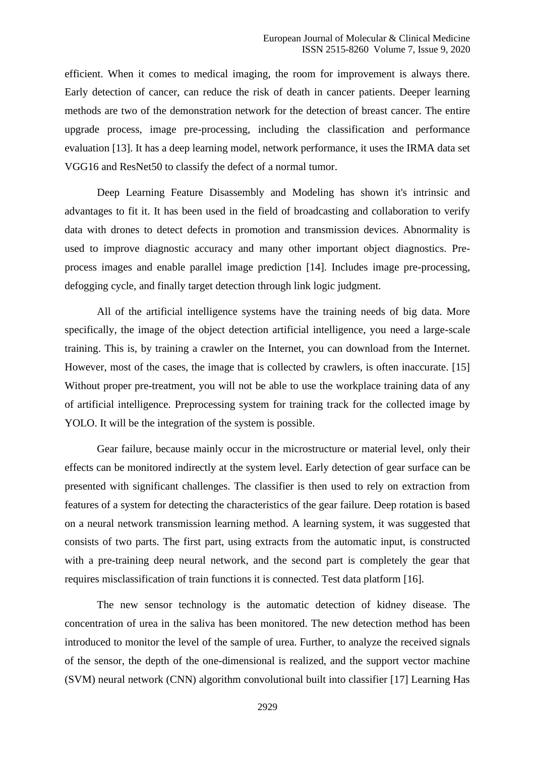efficient. When it comes to medical imaging, the room for improvement is always there. Early detection of cancer, can reduce the risk of death in cancer patients. Deeper learning methods are two of the demonstration network for the detection of breast cancer. The entire upgrade process, image pre-processing, including the classification and performance evaluation [13]. It has a deep learning model, network performance, it uses the IRMA data set VGG16 and ResNet50 to classify the defect of a normal tumor.

Deep Learning Feature Disassembly and Modeling has shown it's intrinsic and advantages to fit it. It has been used in the field of broadcasting and collaboration to verify data with drones to detect defects in promotion and transmission devices. Abnormality is used to improve diagnostic accuracy and many other important object diagnostics. Preprocess images and enable parallel image prediction [14]. Includes image pre-processing, defogging cycle, and finally target detection through link logic judgment.

All of the artificial intelligence systems have the training needs of big data. More specifically, the image of the object detection artificial intelligence, you need a large-scale training. This is, by training a crawler on the Internet, you can download from the Internet. However, most of the cases, the image that is collected by crawlers, is often inaccurate. [15] Without proper pre-treatment, you will not be able to use the workplace training data of any of artificial intelligence. Preprocessing system for training track for the collected image by YOLO. It will be the integration of the system is possible.

Gear failure, because mainly occur in the microstructure or material level, only their effects can be monitored indirectly at the system level. Early detection of gear surface can be presented with significant challenges. The classifier is then used to rely on extraction from features of a system for detecting the characteristics of the gear failure. Deep rotation is based on a neural network transmission learning method. A learning system, it was suggested that consists of two parts. The first part, using extracts from the automatic input, is constructed with a pre-training deep neural network, and the second part is completely the gear that requires misclassification of train functions it is connected. Test data platform [16].

The new sensor technology is the automatic detection of kidney disease. The concentration of urea in the saliva has been monitored. The new detection method has been introduced to monitor the level of the sample of urea. Further, to analyze the received signals of the sensor, the depth of the one-dimensional is realized, and the support vector machine (SVM) neural network (CNN) algorithm convolutional built into classifier [17] Learning Has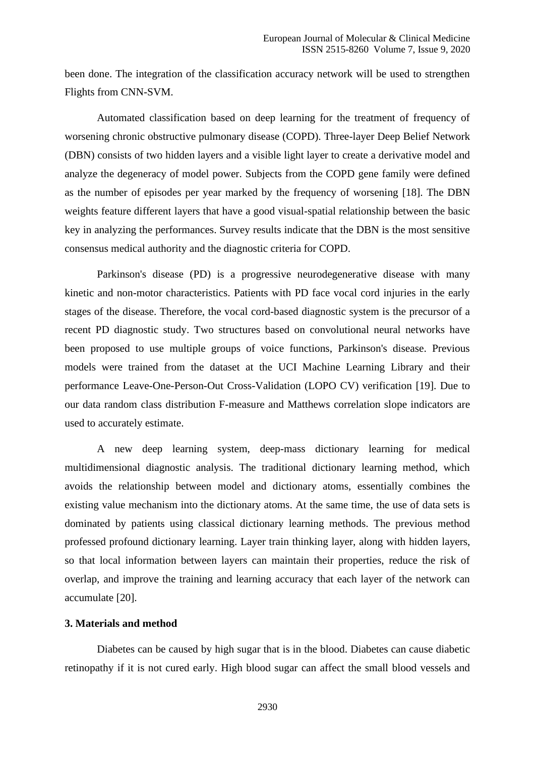been done. The integration of the classification accuracy network will be used to strengthen Flights from CNN-SVM.

Automated classification based on deep learning for the treatment of frequency of worsening chronic obstructive pulmonary disease (COPD). Three-layer Deep Belief Network (DBN) consists of two hidden layers and a visible light layer to create a derivative model and analyze the degeneracy of model power. Subjects from the COPD gene family were defined as the number of episodes per year marked by the frequency of worsening [18]. The DBN weights feature different layers that have a good visual-spatial relationship between the basic key in analyzing the performances. Survey results indicate that the DBN is the most sensitive consensus medical authority and the diagnostic criteria for COPD.

Parkinson's disease (PD) is a progressive neurodegenerative disease with many kinetic and non-motor characteristics. Patients with PD face vocal cord injuries in the early stages of the disease. Therefore, the vocal cord-based diagnostic system is the precursor of a recent PD diagnostic study. Two structures based on convolutional neural networks have been proposed to use multiple groups of voice functions, Parkinson's disease. Previous models were trained from the dataset at the UCI Machine Learning Library and their performance Leave-One-Person-Out Cross-Validation (LOPO CV) verification [19]. Due to our data random class distribution F-measure and Matthews correlation slope indicators are used to accurately estimate.

A new deep learning system, deep-mass dictionary learning for medical multidimensional diagnostic analysis. The traditional dictionary learning method, which avoids the relationship between model and dictionary atoms, essentially combines the existing value mechanism into the dictionary atoms. At the same time, the use of data sets is dominated by patients using classical dictionary learning methods. The previous method professed profound dictionary learning. Layer train thinking layer, along with hidden layers, so that local information between layers can maintain their properties, reduce the risk of overlap, and improve the training and learning accuracy that each layer of the network can accumulate [20].

#### **3. Materials and method**

Diabetes can be caused by high sugar that is in the blood. Diabetes can cause diabetic retinopathy if it is not cured early. High blood sugar can affect the small blood vessels and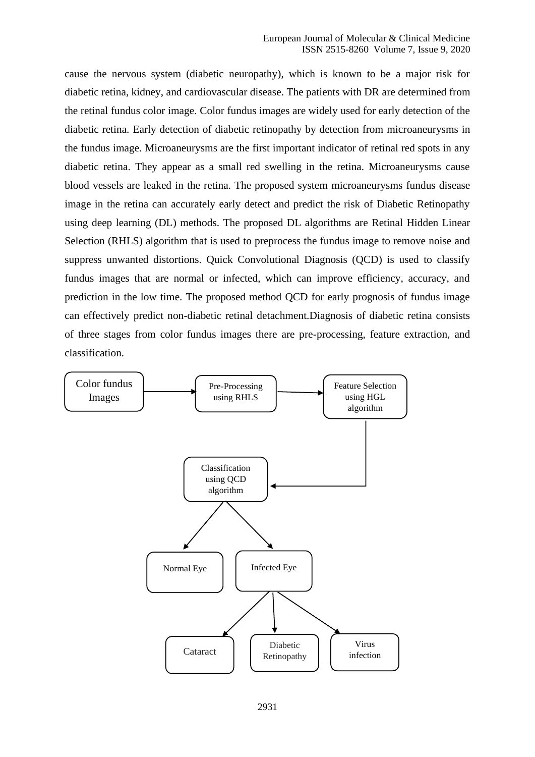cause the nervous system (diabetic neuropathy), which is known to be a major risk for diabetic retina, kidney, and cardiovascular disease. The patients with DR are determined from the retinal fundus color image. Color fundus images are widely used for early detection of the diabetic retina. Early detection of diabetic retinopathy by detection from microaneurysms in the fundus image. Microaneurysms are the first important indicator of retinal red spots in any diabetic retina. They appear as a small red swelling in the retina. Microaneurysms cause blood vessels are leaked in the retina. The proposed system microaneurysms fundus disease image in the retina can accurately early detect and predict the risk of Diabetic Retinopathy using deep learning (DL) methods. The proposed DL algorithms are Retinal Hidden Linear Selection (RHLS) algorithm that is used to preprocess the fundus image to remove noise and suppress unwanted distortions. Quick Convolutional Diagnosis (QCD) is used to classify fundus images that are normal or infected, which can improve efficiency, accuracy, and prediction in the low time. The proposed method QCD for early prognosis of fundus image can effectively predict non-diabetic retinal detachment.Diagnosis of diabetic retina consists of three stages from color fundus images there are pre-processing, feature extraction, and classification.

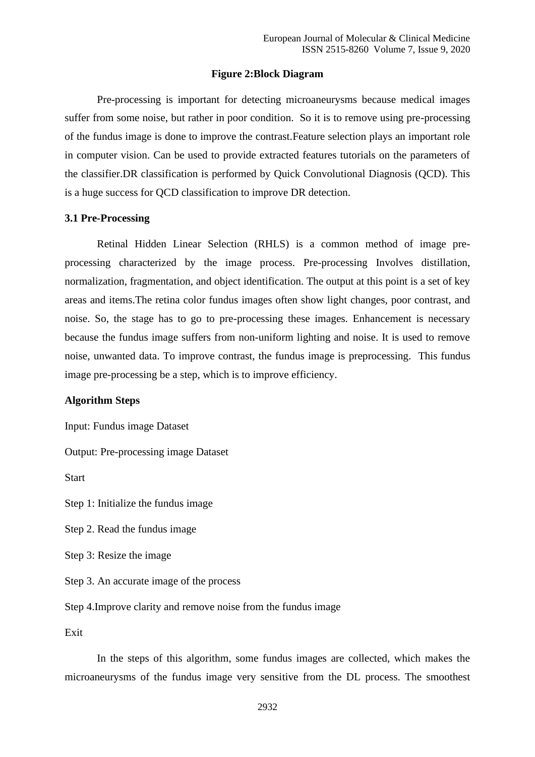#### **Figure 2:Block Diagram**

Pre-processing is important for detecting microaneurysms because medical images suffer from some noise, but rather in poor condition. So it is to remove using pre-processing of the fundus image is done to improve the contrast.Feature selection plays an important role in computer vision. Can be used to provide extracted features tutorials on the parameters of the classifier.DR classification is performed by Quick Convolutional Diagnosis (QCD). This is a huge success for QCD classification to improve DR detection.

#### **3.1 Pre-Processing**

Retinal Hidden Linear Selection (RHLS) is a common method of image preprocessing characterized by the image process. Pre-processing Involves distillation, normalization, fragmentation, and object identification. The output at this point is a set of key areas and items.The retina color fundus images often show light changes, poor contrast, and noise. So, the stage has to go to pre-processing these images. Enhancement is necessary because the fundus image suffers from non-uniform lighting and noise. It is used to remove noise, unwanted data. To improve contrast, the fundus image is preprocessing. This fundus image pre-processing be a step, which is to improve efficiency.

## **Algorithm Steps**

Input: Fundus image Dataset

Output: Pre-processing image Dataset

**Start** 

Step 1: Initialize the fundus image

Step 2. Read the fundus image

Step 3: Resize the image

Step 3. An accurate image of the process

Step 4.Improve clarity and remove noise from the fundus image

Exit

In the steps of this algorithm, some fundus images are collected, which makes the microaneurysms of the fundus image very sensitive from the DL process. The smoothest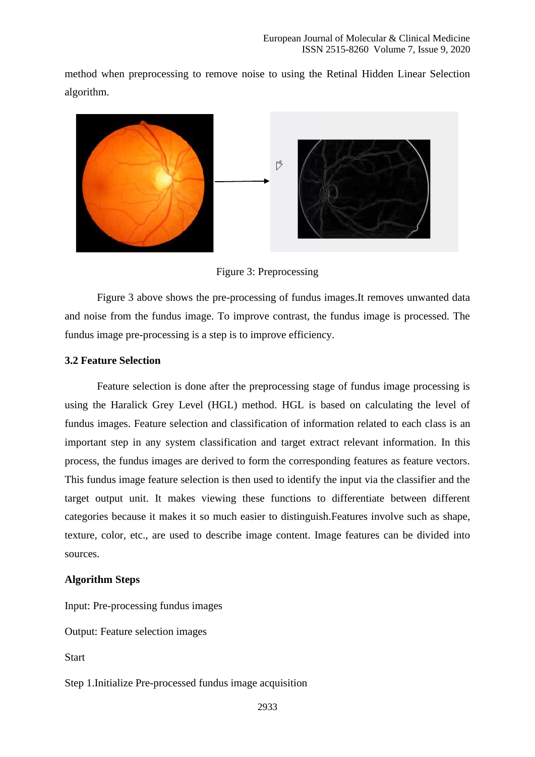method when preprocessing to remove noise to using the Retinal Hidden Linear Selection algorithm.



Figure 3: Preprocessing

Figure 3 above shows the pre-processing of fundus images.It removes unwanted data and noise from the fundus image. To improve contrast, the fundus image is processed. The fundus image pre-processing is a step is to improve efficiency.

#### **3.2 Feature Selection**

Feature selection is done after the preprocessing stage of fundus image processing is using the Haralick Grey Level (HGL) method. HGL is based on calculating the level of fundus images. Feature selection and classification of information related to each class is an important step in any system classification and target extract relevant information. In this process, the fundus images are derived to form the corresponding features as feature vectors. This fundus image feature selection is then used to identify the input via the classifier and the target output unit. It makes viewing these functions to differentiate between different categories because it makes it so much easier to distinguish.Features involve such as shape, texture, color, etc., are used to describe image content. Image features can be divided into sources.

## **Algorithm Steps**

Input: Pre-processing fundus images

Output: Feature selection images

**Start** 

Step 1.Initialize Pre-processed fundus image acquisition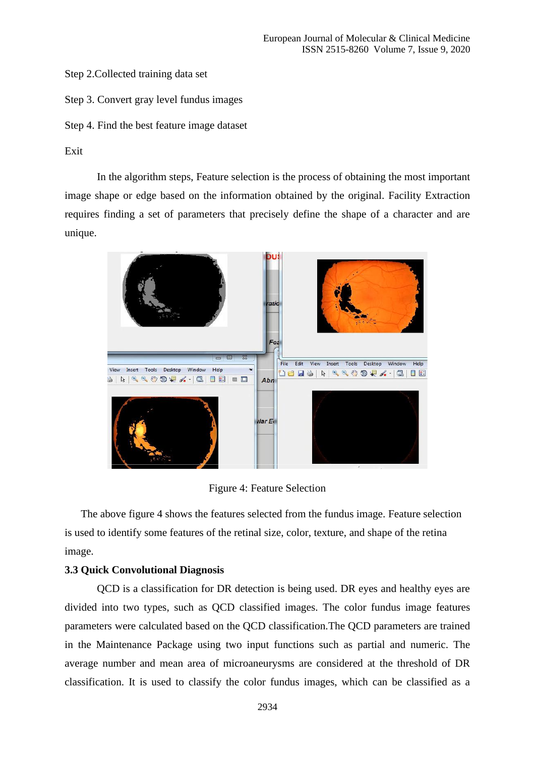Step 2.Collected training data set

Step 3. Convert gray level fundus images

Step 4. Find the best feature image dataset

# Exit

In the algorithm steps, Feature selection is the process of obtaining the most important image shape or edge based on the information obtained by the original. Facility Extraction requires finding a set of parameters that precisely define the shape of a character and are unique.



Figure 4: Feature Selection

The above figure 4 shows the features selected from the fundus image. Feature selection is used to identify some features of the retinal size, color, texture, and shape of the retina image.

#### **3.3 Quick Convolutional Diagnosis**

QCD is a classification for DR detection is being used. DR eyes and healthy eyes are divided into two types, such as QCD classified images. The color fundus image features parameters were calculated based on the QCD classification.The QCD parameters are trained in the Maintenance Package using two input functions such as partial and numeric. The average number and mean area of microaneurysms are considered at the threshold of DR classification. It is used to classify the color fundus images, which can be classified as a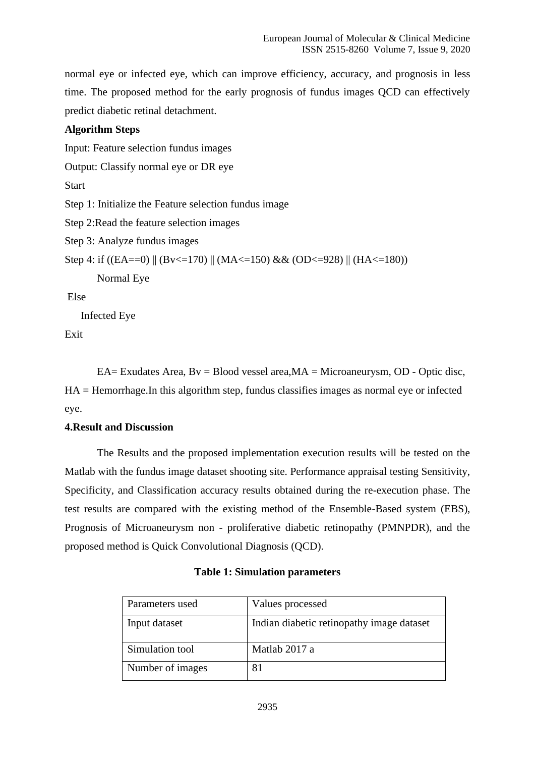normal eye or infected eye, which can improve efficiency, accuracy, and prognosis in less time. The proposed method for the early prognosis of fundus images QCD can effectively predict diabetic retinal detachment.

# **Algorithm Steps**

Input: Feature selection fundus images

Output: Classify normal eye or DR eye

**Start** 

Step 1: Initialize the Feature selection fundus image

Step 2:Read the feature selection images

Step 3: Analyze fundus images

Step 4: if ((EA==0) || (Bv<=170) || (MA<=150) && (OD<=928) || (HA<=180))

Normal Eye

Else

Infected Eye

Exit

EA= Exudates Area,  $Bv = Blood$  vessel area,  $MA = Microanewrysm$ , OD - Optic disc, HA = Hemorrhage.In this algorithm step, fundus classifies images as normal eye or infected eye.

# **4.Result and Discussion**

The Results and the proposed implementation execution results will be tested on the Matlab with the fundus image dataset shooting site. Performance appraisal testing Sensitivity, Specificity, and Classification accuracy results obtained during the re-execution phase. The test results are compared with the existing method of the Ensemble-Based system (EBS), Prognosis of Microaneurysm non - proliferative diabetic retinopathy (PMNPDR), and the proposed method is Quick Convolutional Diagnosis (QCD).

| Parameters used  | Values processed                          |
|------------------|-------------------------------------------|
| Input dataset    | Indian diabetic retinopathy image dataset |
| Simulation tool  | Matlab 2017 a                             |
| Number of images |                                           |

# **Table 1: Simulation parameters**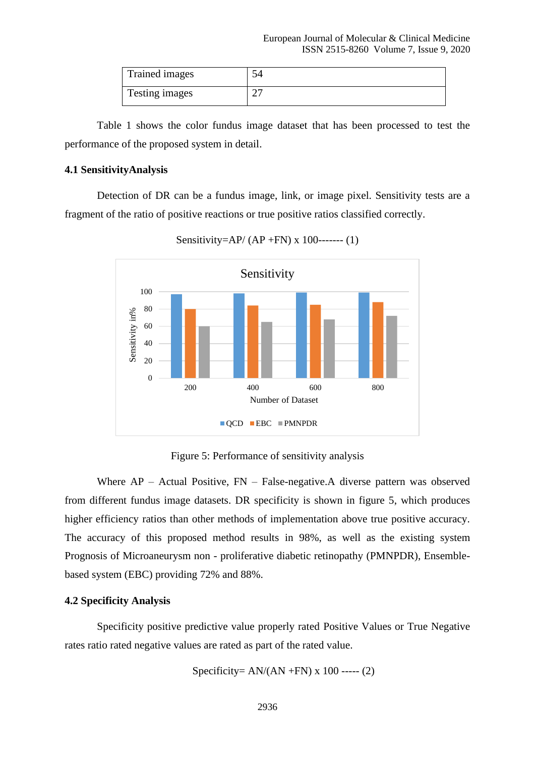| Trained images |  |
|----------------|--|
| Testing images |  |

Table 1 shows the color fundus image dataset that has been processed to test the performance of the proposed system in detail.

#### **4.1 SensitivityAnalysis**

Detection of DR can be a fundus image, link, or image pixel. Sensitivity tests are a fragment of the ratio of positive reactions or true positive ratios classified correctly.



Sensitivity=AP/ (AP +FN) x 100------- (1)

Figure 5: Performance of sensitivity analysis

Where AP – Actual Positive, FN – False-negative.A diverse pattern was observed from different fundus image datasets. DR specificity is shown in figure 5, which produces higher efficiency ratios than other methods of implementation above true positive accuracy. The accuracy of this proposed method results in 98%, as well as the existing system Prognosis of Microaneurysm non - proliferative diabetic retinopathy (PMNPDR), Ensemblebased system (EBC) providing 72% and 88%.

#### **4.2 Specificity Analysis**

Specificity positive predictive value properly rated Positive Values or True Negative rates ratio rated negative values are rated as part of the rated value.

Specificity= 
$$
AN/(AN + FN)
$$
 x 100 --- (2)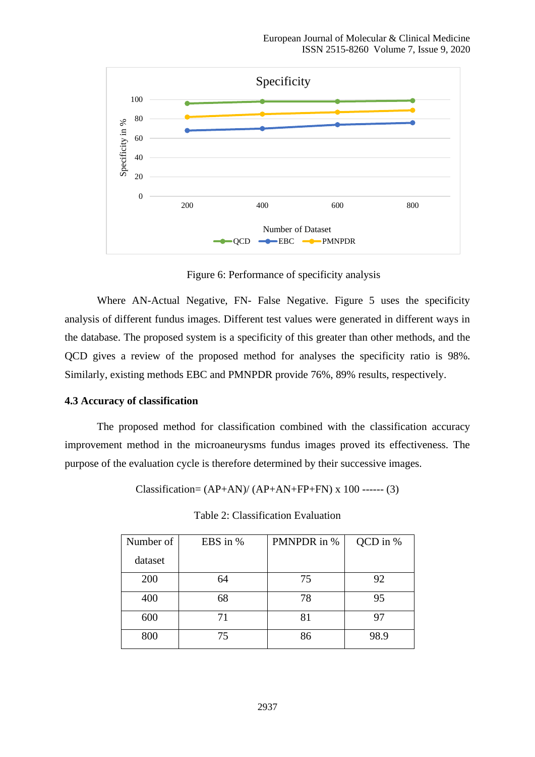

Figure 6: Performance of specificity analysis

Where AN-Actual Negative, FN- False Negative. Figure 5 uses the specificity analysis of different fundus images. Different test values were generated in different ways in the database. The proposed system is a specificity of this greater than other methods, and the QCD gives a review of the proposed method for analyses the specificity ratio is 98%. Similarly, existing methods EBC and PMNPDR provide 76%, 89% results, respectively.

#### **4.3 Accuracy of classification**

The proposed method for classification combined with the classification accuracy improvement method in the microaneurysms fundus images proved its effectiveness. The purpose of the evaluation cycle is therefore determined by their successive images.

Classification=  $(AP+AN)/(AP+AN+FP+FN)$  x 100 ------ (3)

| Number of | EBS in % | PMNPDR in % | QCD in % |
|-----------|----------|-------------|----------|
| dataset   |          |             |          |
| 200       | 64       | 75          | 92       |
| 400       | 68       | 78          | 95       |
| 600       | 71       | 81          | 97       |
| 800       | 75       | 86          | 98.9     |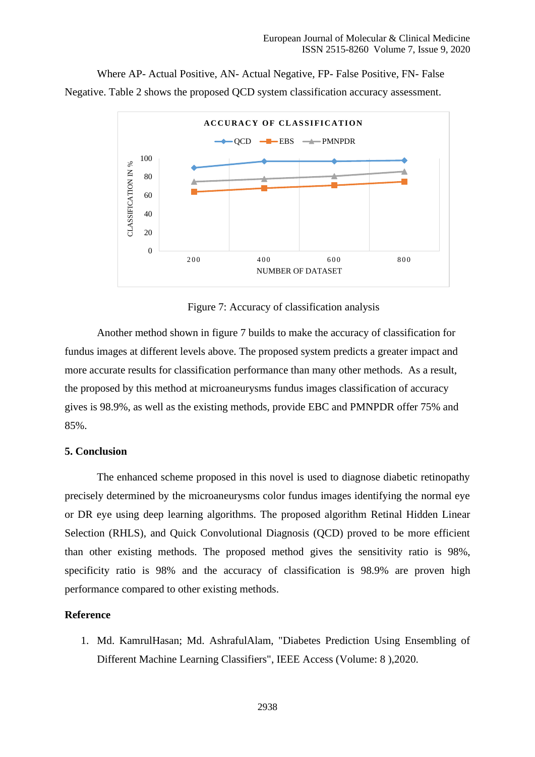Where AP- Actual Positive, AN- Actual Negative, FP- False Positive, FN- False Negative. Table 2 shows the proposed QCD system classification accuracy assessment.



Figure 7: Accuracy of classification analysis

Another method shown in figure 7 builds to make the accuracy of classification for fundus images at different levels above. The proposed system predicts a greater impact and more accurate results for classification performance than many other methods. As a result, the proposed by this method at microaneurysms fundus images classification of accuracy gives is 98.9%, as well as the existing methods, provide EBC and PMNPDR offer 75% and 85%.

## **5. Conclusion**

The enhanced scheme proposed in this novel is used to diagnose diabetic retinopathy precisely determined by the microaneurysms color fundus images identifying the normal eye or DR eye using deep learning algorithms. The proposed algorithm Retinal Hidden Linear Selection (RHLS), and Quick Convolutional Diagnosis (QCD) proved to be more efficient than other existing methods. The proposed method gives the sensitivity ratio is 98%, specificity ratio is 98% and the accuracy of classification is 98.9% are proven high performance compared to other existing methods.

## **Reference**

1. Md. KamrulHasan; Md. AshrafulAlam, "Diabetes Prediction Using Ensembling of Different Machine Learning Classifiers", IEEE Access (Volume: 8 ),2020.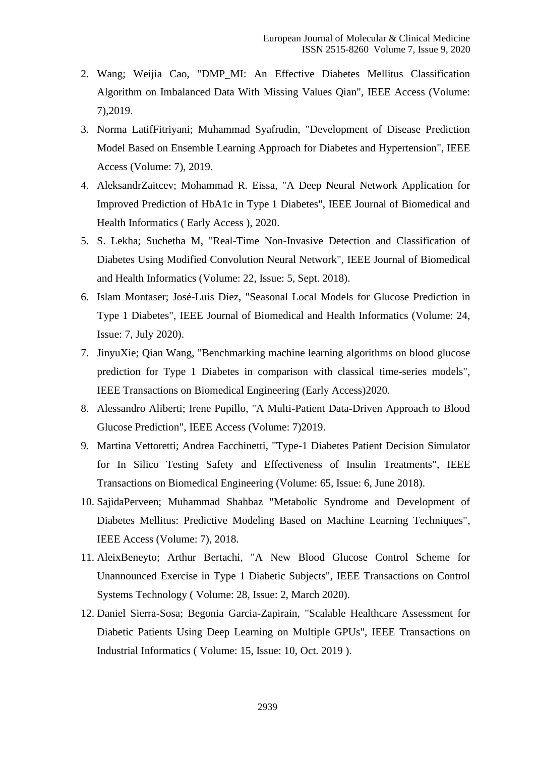- 2. Wang; Weijia Cao, "DMP\_MI: An Effective Diabetes Mellitus Classification Algorithm on Imbalanced Data With Missing Values Qian", IEEE Access (Volume: 7),2019.
- 3. Norma LatifFitriyani; Muhammad Syafrudin, "Development of Disease Prediction Model Based on Ensemble Learning Approach for Diabetes and Hypertension", IEEE Access (Volume: 7), 2019.
- 4. AleksandrZaitcev; Mohammad R. Eissa, "A Deep Neural Network Application for Improved Prediction of HbA1c in Type 1 Diabetes", IEEE Journal of Biomedical and Health Informatics ( Early Access ), 2020.
- 5. S. Lekha; Suchetha M, "Real-Time Non-Invasive Detection and Classification of Diabetes Using Modified Convolution Neural Network", IEEE Journal of Biomedical and Health Informatics (Volume: 22, Issue: 5, Sept. 2018).
- 6. Islam Montaser; José-Luis Díez, "Seasonal Local Models for Glucose Prediction in Type 1 Diabetes", IEEE Journal of Biomedical and Health Informatics (Volume: 24, Issue: 7, July 2020).
- 7. JinyuXie; Qian Wang, "Benchmarking machine learning algorithms on blood glucose prediction for Type 1 Diabetes in comparison with classical time-series models", IEEE Transactions on Biomedical Engineering (Early Access)2020.
- 8. Alessandro Aliberti; Irene Pupillo, "A Multi-Patient Data-Driven Approach to Blood Glucose Prediction", IEEE Access (Volume: 7)2019.
- 9. Martina Vettoretti; Andrea Facchinetti, "Type-1 Diabetes Patient Decision Simulator for In Silico Testing Safety and Effectiveness of Insulin Treatments", IEEE Transactions on Biomedical Engineering (Volume: 65, Issue: 6, June 2018).
- 10. SajidaPerveen; Muhammad Shahbaz "Metabolic Syndrome and Development of Diabetes Mellitus: Predictive Modeling Based on Machine Learning Techniques", IEEE Access (Volume: 7), 2018.
- 11. AleixBeneyto; Arthur Bertachi, "A New Blood Glucose Control Scheme for Unannounced Exercise in Type 1 Diabetic Subjects", IEEE Transactions on Control Systems Technology ( Volume: 28, Issue: 2, March 2020).
- 12. Daniel Sierra-Sosa; Begonia Garcia-Zapirain, "Scalable Healthcare Assessment for Diabetic Patients Using Deep Learning on Multiple GPUs", IEEE Transactions on Industrial Informatics ( Volume: 15, Issue: 10, Oct. 2019 ).